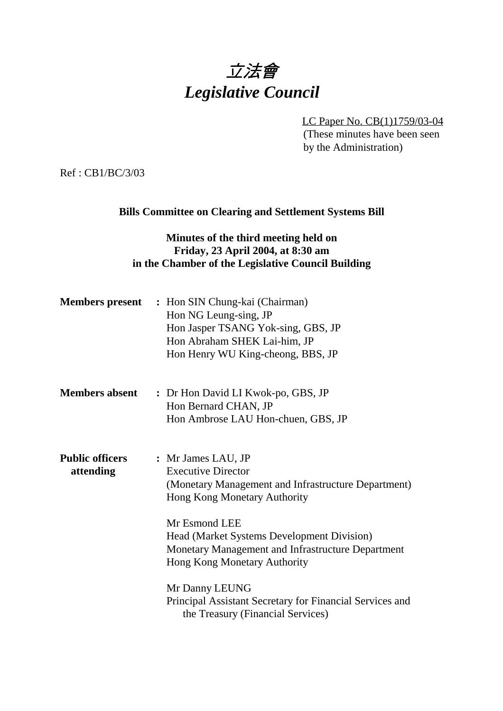# 立法會 *Legislative Council*

LC Paper No. CB(1)1759/03-04 (These minutes have been seen by the Administration)

Ref : CB1/BC/3/03

#### **Bills Committee on Clearing and Settlement Systems Bill**

#### **Minutes of the third meeting held on Friday, 23 April 2004, at 8:30 am in the Chamber of the Legislative Council Building**

| <b>Members</b> present              | : Hon SIN Chung-kai (Chairman)<br>Hon NG Leung-sing, JP<br>Hon Jasper TSANG Yok-sing, GBS, JP<br>Hon Abraham SHEK Lai-him, JP<br>Hon Henry WU King-cheong, BBS, JP                                                                                                                                                                                                                                                   |
|-------------------------------------|----------------------------------------------------------------------------------------------------------------------------------------------------------------------------------------------------------------------------------------------------------------------------------------------------------------------------------------------------------------------------------------------------------------------|
| <b>Members absent</b>               | : Dr Hon David LI Kwok-po, GBS, JP<br>Hon Bernard CHAN, JP<br>Hon Ambrose LAU Hon-chuen, GBS, JP                                                                                                                                                                                                                                                                                                                     |
| <b>Public officers</b><br>attending | : Mr James LAU, JP<br><b>Executive Director</b><br>(Monetary Management and Infrastructure Department)<br>Hong Kong Monetary Authority<br>Mr Esmond LEE<br><b>Head (Market Systems Development Division)</b><br>Monetary Management and Infrastructure Department<br>Hong Kong Monetary Authority<br>Mr Danny LEUNG<br>Principal Assistant Secretary for Financial Services and<br>the Treasury (Financial Services) |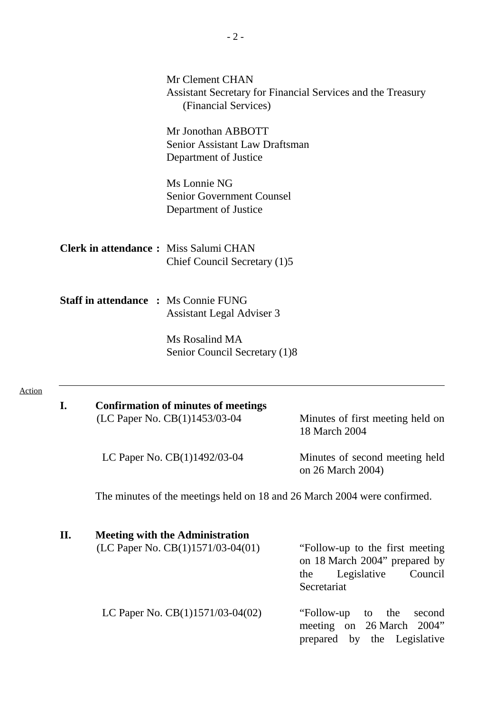|        |     | Mr Clement CHAN<br>(Financial Services)                                       | Assistant Secretary for Financial Services and the Treasury                                                       |
|--------|-----|-------------------------------------------------------------------------------|-------------------------------------------------------------------------------------------------------------------|
|        |     | Mr Jonothan ABBOTT<br>Senior Assistant Law Draftsman<br>Department of Justice |                                                                                                                   |
|        |     | Ms Lonnie NG<br><b>Senior Government Counsel</b><br>Department of Justice     |                                                                                                                   |
|        |     | <b>Clerk in attendance:</b> Miss Salumi CHAN<br>Chief Council Secretary (1)5  |                                                                                                                   |
|        |     | <b>Staff in attendance : Ms Connie FUNG</b><br>Assistant Legal Adviser 3      |                                                                                                                   |
|        |     | Ms Rosalind MA<br>Senior Council Secretary (1)8                               |                                                                                                                   |
| Action | I.  | <b>Confirmation of minutes of meetings</b><br>(LC Paper No. CB(1)1453/03-04   | Minutes of first meeting held on<br>18 March 2004                                                                 |
|        |     | LC Paper No. CB(1)1492/03-04                                                  | Minutes of second meeting held<br>on 26 March 2004)                                                               |
|        |     |                                                                               | The minutes of the meetings held on 18 and 26 March 2004 were confirmed.                                          |
|        | II. | <b>Meeting with the Administration</b><br>(LC Paper No. CB(1)1571/03-04(01)   | "Follow-up to the first meeting"<br>on 18 March 2004" prepared by<br>Legislative<br>Council<br>the<br>Secretariat |
|        |     | LC Paper No. $CB(1)1571/03-04(02)$                                            | "Follow-up"<br>the<br>second<br>to<br>meeting on 26 March<br>2004"<br>prepared by the Legislative                 |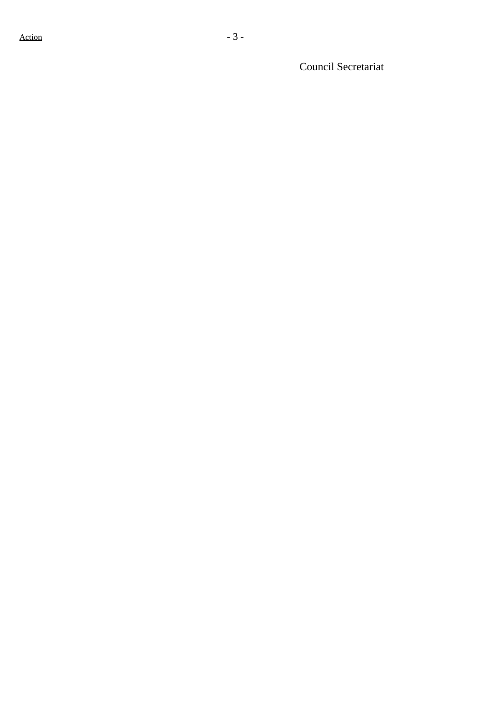Council Secretariat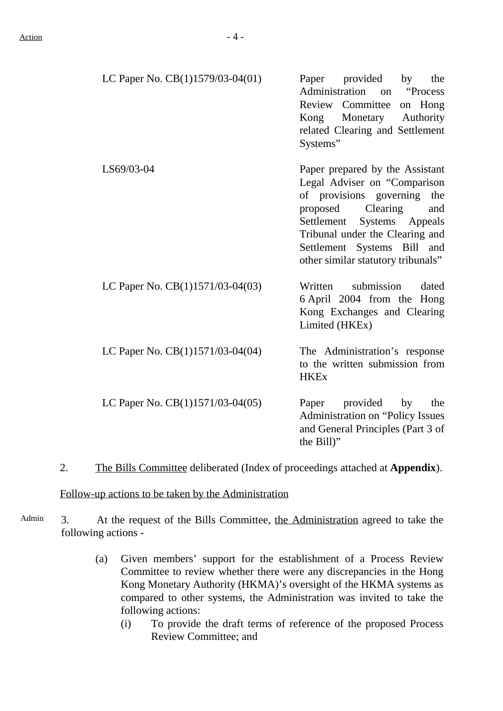| LC Paper No. $CB(1)1579/03-04(01)$ — Paper provided by the |          |                                 |  |  |
|------------------------------------------------------------|----------|---------------------------------|--|--|
|                                                            |          | Administration on "Process"     |  |  |
|                                                            |          | Review Committee on Hong        |  |  |
|                                                            |          | Kong Monetary Authority         |  |  |
|                                                            |          | related Clearing and Settlement |  |  |
|                                                            | Systems" |                                 |  |  |

- LS69/03-04 Paper prepared by the Assistant Legal Adviser on "Comparison of provisions governing the proposed Clearing and Settlement Systems Appeals Tribunal under the Clearing and Settlement Systems Bill and other similar statutory tribunals"
- LC Paper No.  $CB(1)1571/03-04(03)$  Written submission dated 6 April 2004 from the Hong Kong Exchanges and Clearing Limited (HKEx)
- LC Paper No.  $CB(1)1571/03-04(04)$  The Administration's response to the written submission from **HKEx** 
	- LC Paper No.  $CB(1)1571/03-04(05)$  Paper provided by the Administration on "Policy Issues and General Principles (Part 3 of the Bill)"
- 2. The Bills Committee deliberated (Index of proceedings attached at **Appendix**).

Follow-up actions to be taken by the Administration

- Admin 3. At the request of the Bills Committee, the Administration agreed to take the following actions -
	- (a) Given members' support for the establishment of a Process Review Committee to review whether there were any discrepancies in the Hong Kong Monetary Authority (HKMA)'s oversight of the HKMA systems as compared to other systems, the Administration was invited to take the following actions:
		- (i) To provide the draft terms of reference of the proposed Process Review Committee; and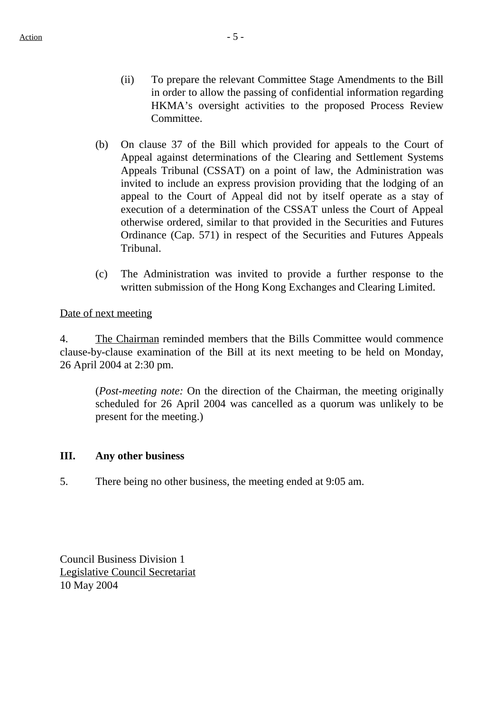- (ii) To prepare the relevant Committee Stage Amendments to the Bill in order to allow the passing of confidential information regarding HKMA's oversight activities to the proposed Process Review Committee.
- (b) On clause 37 of the Bill which provided for appeals to the Court of Appeal against determinations of the Clearing and Settlement Systems Appeals Tribunal (CSSAT) on a point of law, the Administration was invited to include an express provision providing that the lodging of an appeal to the Court of Appeal did not by itself operate as a stay of execution of a determination of the CSSAT unless the Court of Appeal otherwise ordered, similar to that provided in the Securities and Futures Ordinance (Cap. 571) in respect of the Securities and Futures Appeals Tribunal.
- (c) The Administration was invited to provide a further response to the written submission of the Hong Kong Exchanges and Clearing Limited.

#### Date of next meeting

4. The Chairman reminded members that the Bills Committee would commence clause-by-clause examination of the Bill at its next meeting to be held on Monday, 26 April 2004 at 2:30 pm.

(*Post-meeting note:* On the direction of the Chairman, the meeting originally scheduled for 26 April 2004 was cancelled as a quorum was unlikely to be present for the meeting.)

#### **III. Any other business**

5. There being no other business, the meeting ended at 9:05 am.

Council Business Division 1 Legislative Council Secretariat 10 May 2004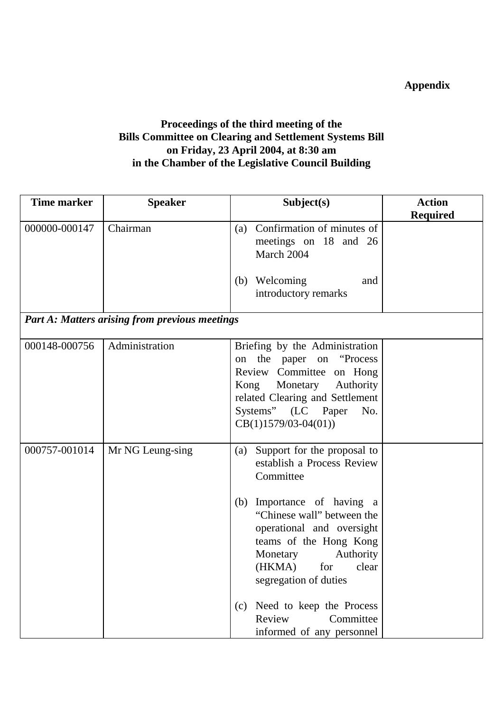## **Appendix**

### **Proceedings of the third meeting of the Bills Committee on Clearing and Settlement Systems Bill on Friday, 23 April 2004, at 8:30 am in the Chamber of the Legislative Council Building**

| <b>Time marker</b> | <b>Speaker</b>                                        | Subject(s)                                                                                                                                                                                                                                                                                                                                                          | <b>Action</b>   |  |
|--------------------|-------------------------------------------------------|---------------------------------------------------------------------------------------------------------------------------------------------------------------------------------------------------------------------------------------------------------------------------------------------------------------------------------------------------------------------|-----------------|--|
|                    |                                                       |                                                                                                                                                                                                                                                                                                                                                                     | <b>Required</b> |  |
| 000000-000147      | Chairman                                              | (a) Confirmation of minutes of<br>meetings on 18 and 26<br>March 2004<br>Welcoming<br>(b)<br>and<br>introductory remarks                                                                                                                                                                                                                                            |                 |  |
|                    | <b>Part A: Matters arising from previous meetings</b> |                                                                                                                                                                                                                                                                                                                                                                     |                 |  |
| 000148-000756      | Administration                                        | Briefing by the Administration<br>the paper on "Process"<br>on<br>Review Committee on Hong<br>Kong Monetary<br>Authority<br>related Clearing and Settlement<br>Systems" (LC Paper<br>No.<br>$CB(1)1579/03-04(01))$                                                                                                                                                  |                 |  |
| 000757-001014      | Mr NG Leung-sing                                      | Support for the proposal to<br>(a)<br>establish a Process Review<br>Committee<br>Importance of having a<br>(b)<br>"Chinese wall" between the<br>operational and oversight<br>teams of the Hong Kong<br>Authority<br>Monetary<br>for<br>(HKMA)<br>clear<br>segregation of duties<br>(c) Need to keep the Process<br>Committee<br>Review<br>informed of any personnel |                 |  |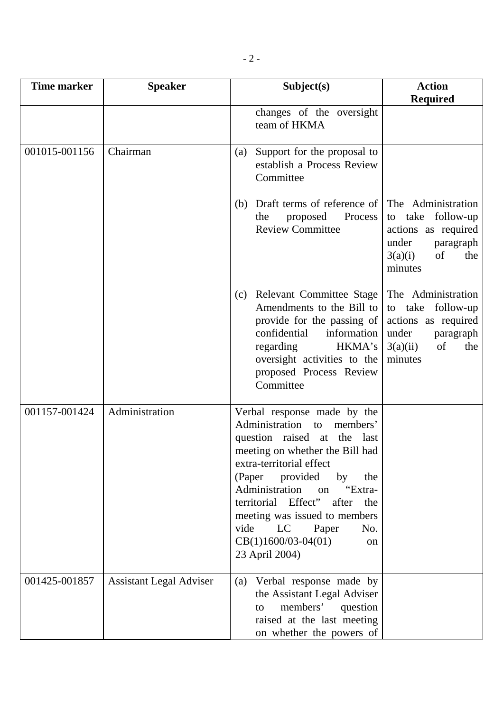| <b>Time marker</b> | <b>Speaker</b>                 | Subject(s)                                                                                                                                                                                                                                                                                                                                                                           | <b>Action</b><br><b>Required</b>                                                                                         |  |  |
|--------------------|--------------------------------|--------------------------------------------------------------------------------------------------------------------------------------------------------------------------------------------------------------------------------------------------------------------------------------------------------------------------------------------------------------------------------------|--------------------------------------------------------------------------------------------------------------------------|--|--|
|                    |                                | changes of the oversight<br>team of HKMA                                                                                                                                                                                                                                                                                                                                             |                                                                                                                          |  |  |
| 001015-001156      | Chairman                       | Support for the proposal to<br>(a)<br>establish a Process Review<br>Committee                                                                                                                                                                                                                                                                                                        |                                                                                                                          |  |  |
|                    |                                | Draft terms of reference of<br>(b)<br>Process<br>proposed<br>the<br><b>Review Committee</b>                                                                                                                                                                                                                                                                                          | The Administration<br>to take follow-up<br>actions as required<br>under<br>paragraph<br>of<br>3(a)(i)<br>the<br>minutes  |  |  |
|                    |                                | <b>Relevant Committee Stage</b><br>(c)<br>Amendments to the Bill to<br>provide for the passing of<br>confidential<br>information<br>HKMA's<br>regarding<br>oversight activities to the<br>proposed Process Review<br>Committee                                                                                                                                                       | The Administration<br>to take follow-up<br>actions as required<br>under<br>paragraph<br>3(a)(ii)<br>of<br>the<br>minutes |  |  |
| 001157-001424      | Administration                 | Verbal response made by the<br>Administration<br>members'<br>to<br>question raised at the last<br>meeting on whether the Bill had<br>extra-territorial effect<br>(Paper provided<br>by<br>the<br>Administration on<br>"Extra-<br>territorial Effect"<br>after<br>the<br>meeting was issued to members<br>vide<br>LC<br>Paper<br>No.<br>$CB(1)1600/03-04(01)$<br>on<br>23 April 2004) |                                                                                                                          |  |  |
| 001425-001857      | <b>Assistant Legal Adviser</b> | Verbal response made by<br>(a)<br>the Assistant Legal Adviser<br>members'<br>question<br>to<br>raised at the last meeting<br>on whether the powers of                                                                                                                                                                                                                                |                                                                                                                          |  |  |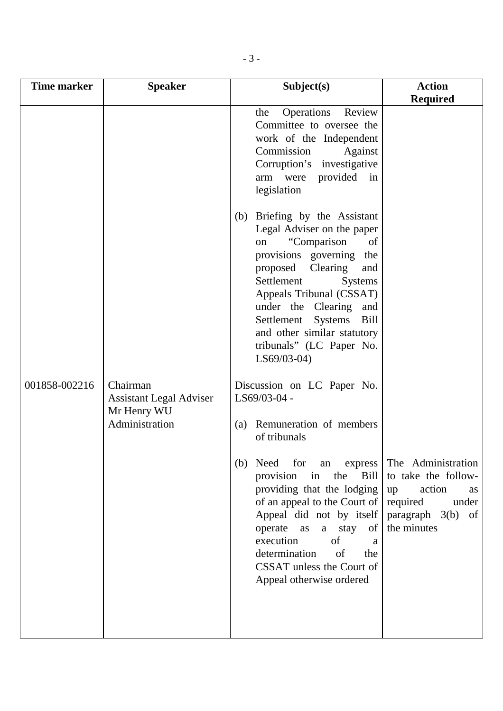| <b>Time marker</b> | <b>Speaker</b>                                                              | Subject(s)                                                                                                                                                                                                                                                                                                                                               | <b>Action</b>                                                                                                                       |
|--------------------|-----------------------------------------------------------------------------|----------------------------------------------------------------------------------------------------------------------------------------------------------------------------------------------------------------------------------------------------------------------------------------------------------------------------------------------------------|-------------------------------------------------------------------------------------------------------------------------------------|
|                    |                                                                             |                                                                                                                                                                                                                                                                                                                                                          | <b>Required</b>                                                                                                                     |
|                    |                                                                             | Review<br>Operations<br>the<br>Committee to oversee the<br>work of the Independent<br>Commission<br>Against<br>Corruption's investigative<br>provided<br>$\sin$<br>arm<br>were<br>legislation                                                                                                                                                            |                                                                                                                                     |
|                    |                                                                             | (b) Briefing by the Assistant<br>Legal Adviser on the paper<br>"Comparison<br>of<br>on<br>provisions governing<br>the<br>proposed<br>Clearing<br>and<br>Settlement<br><b>Systems</b><br>Appeals Tribunal (CSSAT)<br>under the Clearing<br>and<br>Settlement<br>Systems<br>Bill<br>and other similar statutory<br>tribunals" (LC Paper No.<br>LS69/03-04) |                                                                                                                                     |
| 001858-002216      | Chairman<br><b>Assistant Legal Adviser</b><br>Mr Henry WU<br>Administration | Discussion on LC Paper No.<br>LS69/03-04 -<br>Remuneration of members<br>(a)<br>of tribunals                                                                                                                                                                                                                                                             |                                                                                                                                     |
|                    |                                                                             | for<br>Need<br>(b)<br>Bill  <br>the<br>provision<br>in<br>providing that the lodging<br>of an appeal to the Court of<br>Appeal did not by itself<br>operate<br>a stay of<br>as<br>execution<br>of<br>a<br>determination<br>of<br>the<br>CSSAT unless the Court of<br>Appeal otherwise ordered                                                            | an express The Administration<br>to take the follow-<br>action<br>up<br>as<br>required<br>under<br>paragraph 3(b) of<br>the minutes |
|                    |                                                                             |                                                                                                                                                                                                                                                                                                                                                          |                                                                                                                                     |